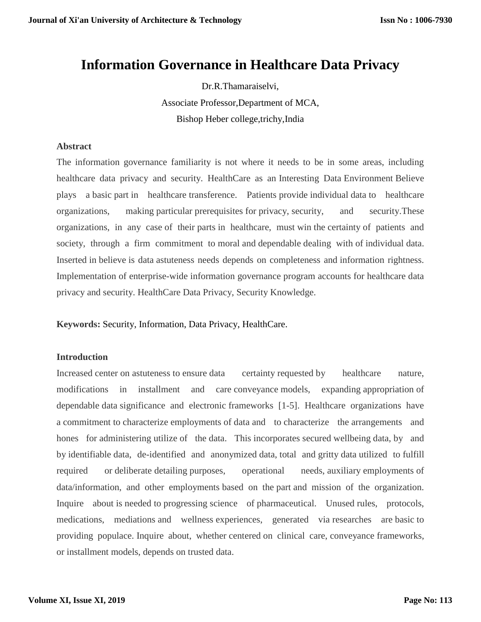# **Information Governance in Healthcare Data Privacy**

Dr.R.Thamaraiselvi, Associate Professor,Department of MCA, Bishop Heber college,trichy,India

### **Abstract**

The information governance familiarity is not where it needs to be in some areas, including healthcare data privacy and security. HealthCare as an Interesting Data Environment Believe plays a basic part in healthcare transference. Patients provide individual data to healthcare organizations, making particular prerequisites for privacy, security, and security.These organizations, in any case of their parts in healthcare, must win the certainty of patients and society, through a firm commitment to moral and dependable dealing with of individual data. Inserted in believe is data astuteness needs depends on completeness and information rightness. Implementation of enterprise-wide information governance program accounts for healthcare data privacy and security. HealthCare Data Privacy, Security Knowledge.

**Keywords:** Security, Information, Data Privacy, HealthCare.

# **Introduction**

Increased center on astuteness to ensure data certainty requested by healthcare nature, modifications in installment and care conveyance models, expanding appropriation of dependable data significance and electronic frameworks [1-5]. Healthcare organizations have a commitment to characterize employments of data and to characterize the arrangements and hones for administering utilize of the data. This incorporates secured wellbeing data, by and by identifiable data, de-identified and anonymized data, total and gritty data utilized to fulfill required or deliberate detailing purposes, operational needs, auxiliary employments of data/information, and other employments based on the part and mission of the organization. Inquire about is needed to progressing science of pharmaceutical. Unused rules, protocols, medications, mediations and wellness experiences, generated via researches are basic to providing populace. Inquire about, whether centered on clinical care, conveyance frameworks, or installment models, depends on trusted data.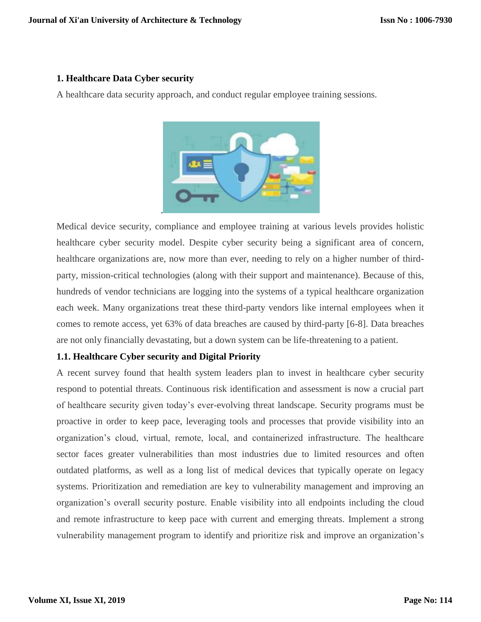### **1. Healthcare Data Cyber security**

A healthcare data security approach, and conduct regular employee training sessions.



Medical device security, compliance and employee training at various levels provides holistic healthcare cyber security model. Despite cyber security being a significant area of concern, healthcare organizations are, now more than ever, needing to rely on a higher number of thirdparty, mission-critical technologies (along with their support and maintenance). Because of this, hundreds of vendor technicians are logging into the systems of a typical healthcare organization each week. Many organizations treat these third-party vendors like internal employees when it comes to remote access, yet 63% of data breaches are caused by third-party [6-8]. Data breaches are not only financially devastating, but a down system can be life-threatening to a patient.

# **1.1. Healthcare Cyber security and Digital Priority**

A recent survey found that health system leaders plan to invest in healthcare cyber security respond to potential threats. Continuous risk identification and assessment is now a crucial part of healthcare security given today's ever-evolving threat landscape. Security programs must be proactive in order to keep pace, leveraging tools and processes that provide visibility into an organization's cloud, virtual, remote, local, and containerized infrastructure. The healthcare sector faces greater vulnerabilities than most industries due to limited resources and often outdated platforms, as well as a long list of medical devices that typically operate on legacy systems. Prioritization and remediation are key to vulnerability management and improving an organization's overall security posture. Enable visibility into all endpoints including the cloud and remote infrastructure to keep pace with current and emerging threats. Implement a strong vulnerability management program to identify and prioritize risk and improve an organization's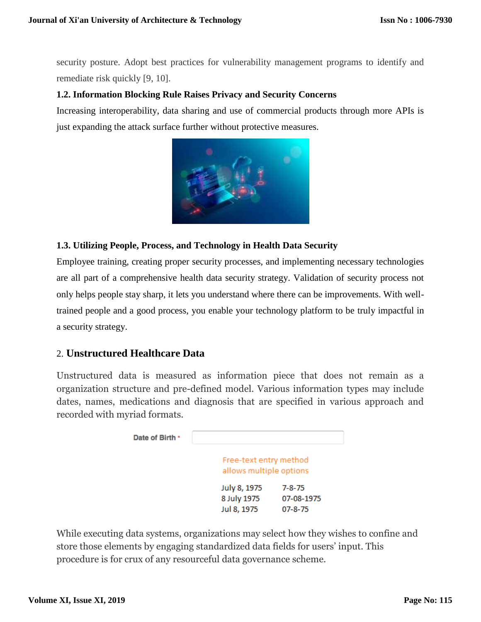security posture. Adopt best practices for vulnerability management programs to identify and remediate risk quickly [9, 10].

# **1.2. Information Blocking Rule Raises Privacy and Security Concerns**

Increasing interoperability, data sharing and use of commercial products through more APIs is just expanding the attack surface further without protective measures.



# **1.3. Utilizing People, Process, and Technology in Health Data Security**

Employee training, creating proper security processes, and implementing necessary technologies are all part of a comprehensive health data security strategy. Validation of security process not only helps people stay sharp, it lets you understand where there can be improvements. With welltrained people and a good process, you enable your technology platform to be truly impactful in a security strategy.

# 2. **Unstructured Healthcare Data**

Unstructured data is measured as information piece that does not remain as a organization structure and pre-defined model. Various information types may include dates, names, medications and diagnosis that are specified in various approach and recorded with myriad formats.



While executing data systems, organizations may select how they wishes to confine and store those elements by engaging standardized data fields for users' input. This procedure is for crux of any resourceful data governance scheme.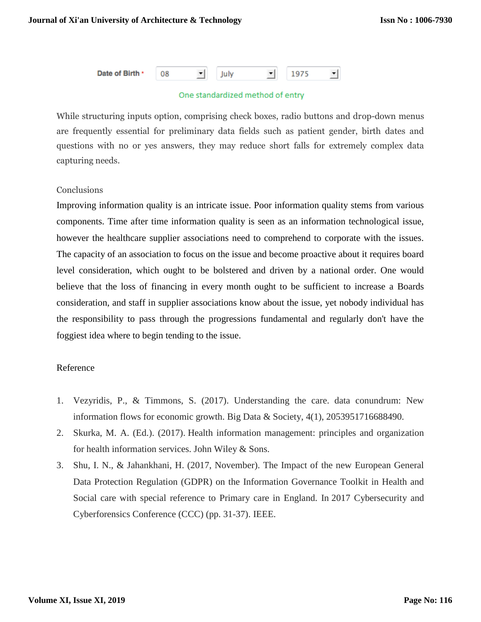

#### One standardized method of entry

While structuring inputs option, comprising check boxes, radio buttons and drop-down menus are frequently essential for preliminary data fields such as patient gender, birth dates and questions with no or yes answers, they may reduce short falls for extremely complex data capturing needs.

# **Conclusions**

Improving information quality is an intricate issue. Poor information quality stems from various components. Time after time information quality is seen as an information technological issue, however the healthcare supplier associations need to comprehend to corporate with the issues. The capacity of an association to focus on the issue and become proactive about it requires board level consideration, which ought to be bolstered and driven by a national order. One would believe that the loss of financing in every month ought to be sufficient to increase a Boards consideration, and staff in supplier associations know about the issue, yet nobody individual has the responsibility to pass through the progressions fundamental and regularly don't have the foggiest idea where to begin tending to the issue.

#### Reference

- 1. Vezyridis, P., & Timmons, S. (2017). Understanding the care. data conundrum: New information flows for economic growth. Big Data & Society, 4(1), 2053951716688490.
- 2. Skurka, M. A. (Ed.). (2017). Health information management: principles and organization for health information services. John Wiley & Sons.
- 3. Shu, I. N., & Jahankhani, H. (2017, November). The Impact of the new European General Data Protection Regulation (GDPR) on the Information Governance Toolkit in Health and Social care with special reference to Primary care in England. In 2017 Cybersecurity and Cyberforensics Conference (CCC) (pp. 31-37). IEEE.